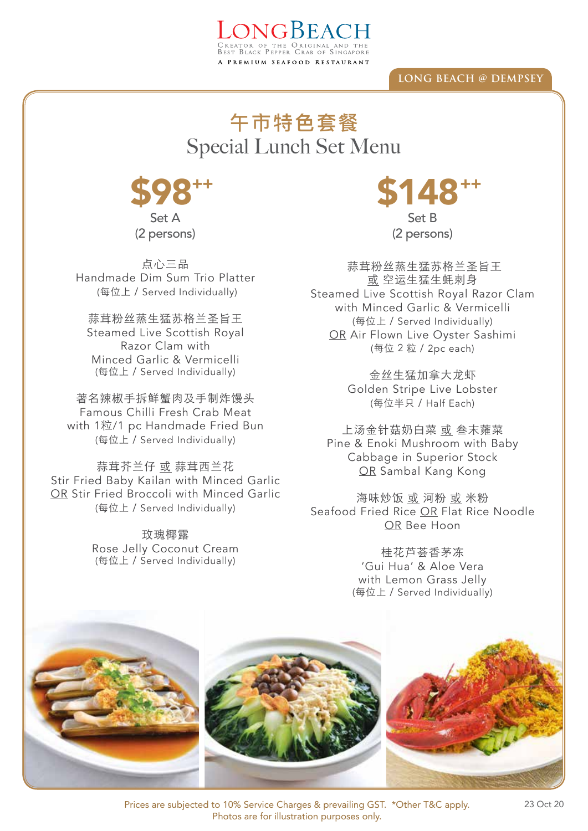## **LONG BEACH @ DEMPSEY**

## Special Lunch Set Menu 午市特色套餐

LONGBEACH

A PREMIUM SEAFOOD RESTAURANT



(2 persons)

点心三品 Handmade Dim Sum Trio Platter (每位上 / Served Individually)

蒜茸粉丝蒸生猛苏格兰圣旨王 Steamed Live Scottish Royal Razor Clam with Minced Garlic & Vermicelli (每位上 / Served Individually)

著名辣椒手拆鲜蟹肉及手制炸馒头 Famous Chilli Fresh Crab Meat with 1粒/1 pc Handmade Fried Bun (每位上 / Served Individually)

蒜茸芥兰仔 或 蒜茸西兰花 Stir Fried Baby Kailan with Minced Garlic OR Stir Fried Broccoli with Minced Garlic (每位上 / Served Individually)

> 玫瑰椰露 Rose Jelly Coconut Cream (每位上 / Served Individually)

**\$98\*\*** \$148\*\* Set B

(2 persons)

蒜茸粉丝蒸生猛苏格兰圣旨王 或 空运生猛生蚝刺身 Steamed Live Scottish Royal Razor Clam with Minced Garlic & Vermicelli (每位上 / Served Individually) OR Air Flown Live Oyster Sashimi (每位 2 粒 / 2pc each)

> 金丝生猛加拿大龙虾 Golden Stripe Live Lobster (每位半只 / Half Each)

上汤金针菇奶白菜 或 叁末蕹菜 Pine & Enoki Mushroom with Baby Cabbage in Superior Stock OR Sambal Kang Kong

海味炒饭 或 河粉 或 米粉 Seafood Fried Rice OR Flat Rice Noodle OR Bee Hoon

> 桂花芦荟香茅冻 'Gui Hua' & Aloe Vera with Lemon Grass Jelly (每位上 / Served Individually)



Prices are subjected to 10% Service Charges & prevailing GST. \*Other T&C apply. Photos are for illustration purposes only.